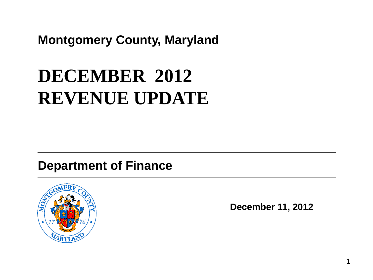#### **Montgomery County, Maryland**

# **DECEMBER 2012 REVENUE UPDATE**

#### **Department of Finance**



**December 11, 2012**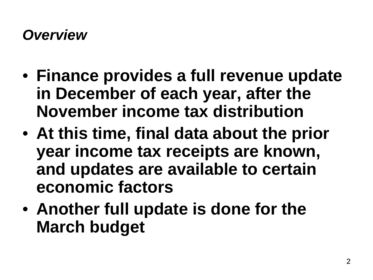#### *Overview*

- **Finance provides a full revenue update in December of each year, after the November income tax distribution**
- **At this time, final data about the prior year income tax receipts are known, and updates are available to certain economic factors**
- **Another full update is done for the March budget**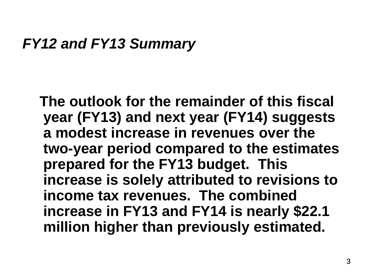#### *FY12 and FY13 Summary*

 **The outlook for the remainder of this fiscal year (FY13) and next year (FY14) suggests a modest increase in revenues over the two-year period compared to the estimates prepared for the FY13 budget. This increase is solely attributed to revisions to income tax revenues. The combined increase in FY13 and FY14 is nearly \$22.1 million higher than previously estimated.**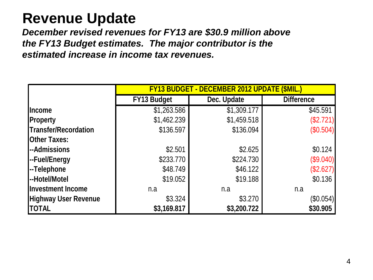# **Revenue Update**

*December revised revenues for FY13 are \$30.9 million above the FY13 Budget estimates. The major contributor is the estimated increase in income tax revenues.*

|                             | <b>FY13 BUDGET - DECEMBER 2012 UPDATE (\$MIL.)</b> |             |                   |  |  |  |
|-----------------------------|----------------------------------------------------|-------------|-------------------|--|--|--|
|                             | <b>FY13 Budget</b>                                 | Dec. Update | <b>Difference</b> |  |  |  |
| <b>Income</b>               | \$1,263.586                                        | \$1,309.177 | \$45.591          |  |  |  |
| <b>Property</b>             | \$1,462.239                                        | \$1,459.518 | (\$2.721)         |  |  |  |
| Transfer/Recordation        | \$136.597                                          | \$136.094   | (\$0.504)         |  |  |  |
| <b>Other Taxes:</b>         |                                                    |             |                   |  |  |  |
| --Admissions                | \$2.501                                            | \$2.625     | \$0.124           |  |  |  |
| --Fuel/Energy               | \$233.770                                          | \$224.730   | (\$9.040)         |  |  |  |
| --Telephone                 | \$48.749                                           | \$46.122    | (\$2.627)         |  |  |  |
| --Hotel/Motel               | \$19.052                                           | \$19.188    | \$0.136           |  |  |  |
| <b>Investment Income</b>    | n.a                                                | n.a         | n.a               |  |  |  |
| <b>Highway User Revenue</b> | \$3.324                                            | \$3.270     | (\$0.054)         |  |  |  |
| <b>ITOTAL</b>               | \$3,169.817                                        | \$3,200.722 | \$30.905          |  |  |  |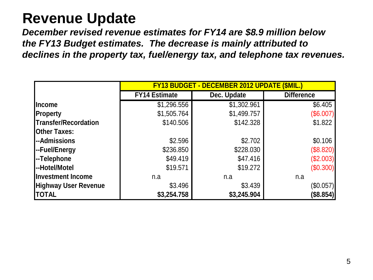# **Revenue Update**

*December revised revenue estimates for FY14 are \$8.9 million below the FY13 Budget estimates. The decrease is mainly attributed to declines in the property tax, fuel/energy tax, and telephone tax revenues.*

|                             | <b>FY13 BUDGET - DECEMBER 2012 UPDATE (SMIL.</b> |             |                   |  |  |  |
|-----------------------------|--------------------------------------------------|-------------|-------------------|--|--|--|
|                             | <b>FY14 Estimate</b>                             | Dec. Update | <b>Difference</b> |  |  |  |
| <b>Income</b>               | \$1,296.556                                      | \$1,302.961 | \$6.405           |  |  |  |
| <b>Property</b>             | \$1,505.764                                      | \$1,499.757 | (\$6.007)         |  |  |  |
| Transfer/Recordation        | \$140.506                                        | \$142.328   | \$1.822           |  |  |  |
| <b>Other Taxes:</b>         |                                                  |             |                   |  |  |  |
| <b>--Admissions</b>         | \$2.596                                          | \$2.702     | \$0.106           |  |  |  |
| --Fuel/Energy               | \$236.850                                        | \$228.030   | (\$8.820)         |  |  |  |
| --Telephone                 | \$49.419                                         | \$47.416    | (\$2.003)         |  |  |  |
| --Hotel/Motel               | \$19.571                                         | \$19.272    | (\$0.300)         |  |  |  |
| <b>Investment Income</b>    | n.a                                              | n.a         | n.a               |  |  |  |
| <b>Highway User Revenue</b> | \$3.496                                          | \$3.439     | $(\$0.057)$       |  |  |  |
| <b>TOTAL</b>                | \$3,254.758                                      | \$3,245.904 | (\$8.854)         |  |  |  |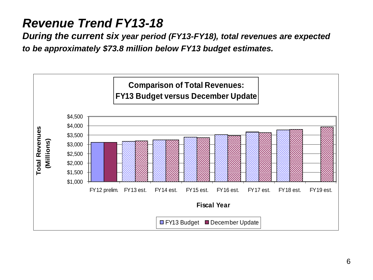#### *Revenue Trend FY13-18*

*During the current six year period (FY13-FY18), total revenues are expected to be approximately \$73.8 million below FY13 budget estimates.*

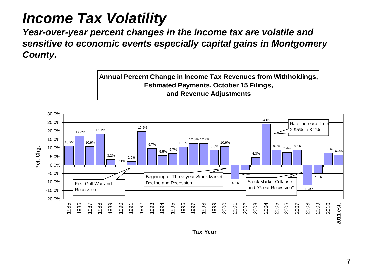# *Income Tax Volatility*

*Year-over-year percent changes in the income tax are volatile and sensitive to economic events especially capital gains in Montgomery County.*

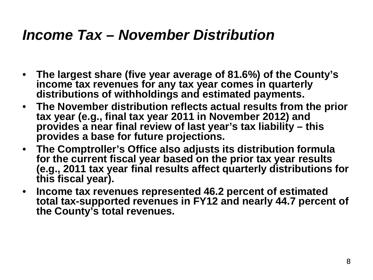## *Income Tax – November Distribution*

- **The largest share (five year average of 81.6%) of the County's income tax revenues for any tax year comes in quarterly distributions of withholdings and estimated payments.**
- **The November distribution reflects actual results from the prior tax year (e.g., final tax year 2011 in November 2012) and provides a near final review of last year's tax liability – this provides a base for future projections.**
- **The Comptroller's Office also adjusts its distribution formula for the current fiscal year based on the prior tax year results (e.g., 2011 tax year final results affect quarterly distributions for this fiscal year).**
- **Income tax revenues represented 46.2 percent of estimated total tax-supported revenues in FY12 and nearly 44.7 percent of the County's total revenues.**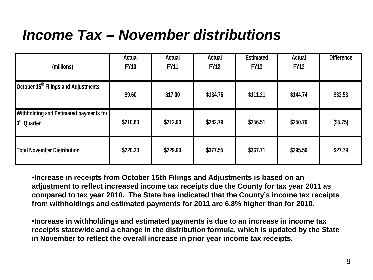# *Income Tax – November distributions*

| (millions)                                                   | <b>Actual</b><br><b>FY10</b> | Actual<br><b>FY11</b> | <b>Actual</b><br><b>FY12</b> | <b>Estimated</b><br><b>FY13</b> | Actual<br><b>FY13</b> | <b>Difference</b> |
|--------------------------------------------------------------|------------------------------|-----------------------|------------------------------|---------------------------------|-----------------------|-------------------|
| October 15 <sup>th</sup> Filings and Adjustments             | \$9.60                       | \$17.00               | \$134.76                     | \$111.21                        | \$144.74              | \$33.53           |
| <b>Withholding and Estimated payments for</b><br>3rd Quarter | \$210.60                     | \$212.90              | \$242.79                     | \$256.51                        | \$250.76              | (\$5.75)          |
| Total November Distribution                                  | \$220.20                     | \$229.90              | \$377.55                     | \$367.71                        | \$395.50              | \$27.79           |

•**Increase in receipts from October 15th Filings and Adjustments is based on an adjustment to reflect increased income tax receipts due the County for tax year 2011 as compared to tax year 2010. The State has indicated that the County's income tax receipts from withholdings and estimated payments for 2011 are 6.8% higher than for 2010.**

•**Increase in withholdings and estimated payments is due to an increase in income tax receipts statewide and a change in the distribution formula, which is updated by the State in November to reflect the overall increase in prior year income tax receipts.**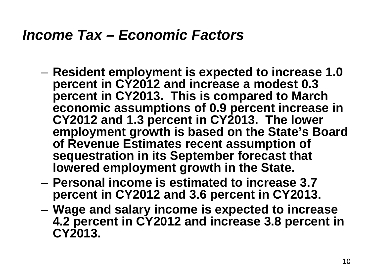## *Income Tax – Economic Factors*

- **Resident employment is expected to increase 1.0 percent in CY2012 and increase a modest 0.3 percent in CY2013. This is compared to March economic assumptions of 0.9 percent increase in CY2012 and 1.3 percent in CY2013. The lower employment growth is based on the State's Board of Revenue Estimates recent assumption of sequestration in its September forecast that lowered employment growth in the State.**
- **Personal income is estimated to increase 3.7 percent in CY2012 and 3.6 percent in CY2013.**
- **Wage and salary income is expected to increase 4.2 percent in CY2012 and increase 3.8 percent in CY2013.**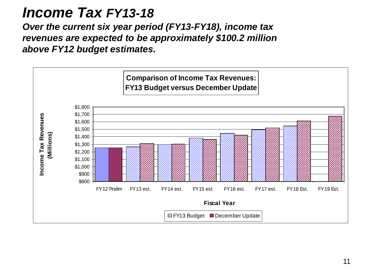#### *Income Tax FY13-18*

*Over the current six year period (FY13-FY18), income tax revenues are expected to be approximately \$100.2 million above FY12 budget estimates.* 

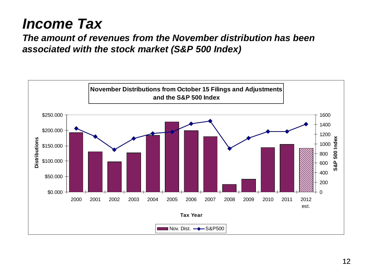## *Income Tax*

*The amount of revenues from the November distribution has been associated with the stock market (S&P 500 Index)*

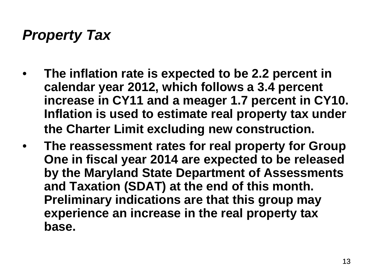# *Property Tax*

- **The inflation rate is expected to be 2.2 percent in calendar year 2012, which follows a 3.4 percent increase in CY11 and a meager 1.7 percent in CY10. Inflation is used to estimate real property tax under the Charter Limit excluding new construction.**
- **The reassessment rates for real property for Group One in fiscal year 2014 are expected to be released by the Maryland State Department of Assessments and Taxation (SDAT) at the end of this month. Preliminary indications are that this group may experience an increase in the real property tax base.**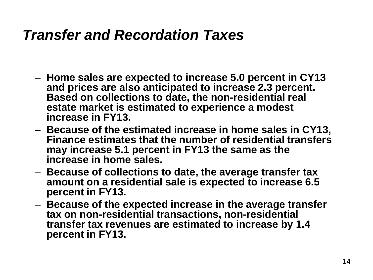## *Transfer and Recordation Taxes*

- **Home sales are expected to increase 5.0 percent in CY13 and prices are also anticipated to increase 2.3 percent. Based on collections to date, the non-residential real estate market is estimated to experience a modest increase in FY13.**
- **Because of the estimated increase in home sales in CY13, Finance estimates that the number of residential transfers may increase 5.1 percent in FY13 the same as the increase in home sales.**
- **Because of collections to date, the average transfer tax amount on a residential sale is expected to increase 6.5 percent in FY13.**
- **Because of the expected increase in the average transfer tax on non-residential transactions, non-residential transfer tax revenues are estimated to increase by 1.4 percent in FY13.**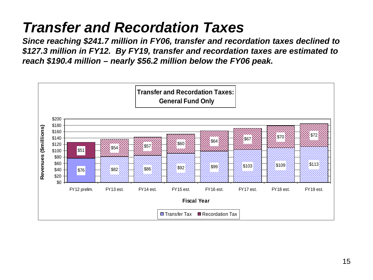# *Transfer and Recordation Taxes*

*Since reaching \$241.7 million in FY06, transfer and recordation taxes declined to \$127.3 million in FY12. By FY19, transfer and recordation taxes are estimated to reach \$190.4 million – nearly \$56.2 million below the FY06 peak.*